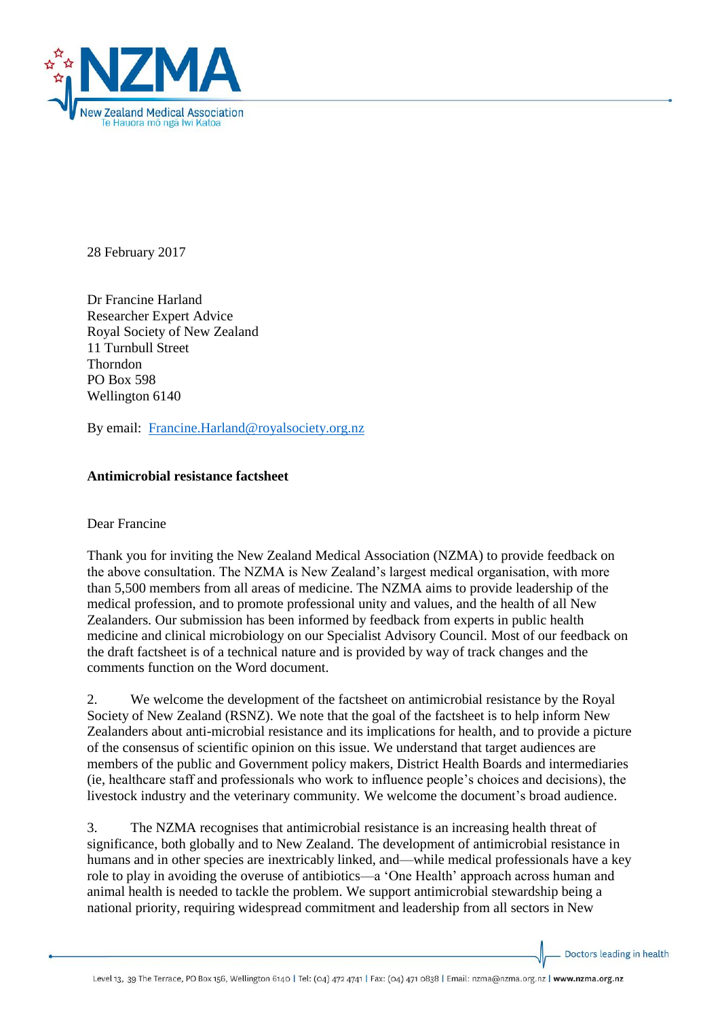

28 February 2017

Dr Francine Harland Researcher Expert Advice Royal Society of New Zealand 11 Turnbull Street Thorndon PO Box 598 Wellington 6140

By email: [Francine.Harland@royalsociety.org.nz](mailto:Francine.Harland@royalsociety.org.nz)

## **Antimicrobial resistance factsheet**

## Dear Francine

Thank you for inviting the New Zealand Medical Association (NZMA) to provide feedback on the above consultation. The NZMA is New Zealand's largest medical organisation, with more than 5,500 members from all areas of medicine. The NZMA aims to provide leadership of the medical profession, and to promote professional unity and values, and the health of all New Zealanders. Our submission has been informed by feedback from experts in public health medicine and clinical microbiology on our Specialist Advisory Council. Most of our feedback on the draft factsheet is of a technical nature and is provided by way of track changes and the comments function on the Word document.

2. We welcome the development of the factsheet on antimicrobial resistance by the Royal Society of New Zealand (RSNZ). We note that the goal of the factsheet is to help inform New Zealanders about anti-microbial resistance and its implications for health, and to provide a picture of the consensus of scientific opinion on this issue. We understand that target audiences are members of the public and Government policy makers, District Health Boards and intermediaries (ie, healthcare staff and professionals who work to influence people's choices and decisions), the livestock industry and the veterinary community. We welcome the document's broad audience.

3. The NZMA recognises that antimicrobial resistance is an increasing health threat of significance, both globally and to New Zealand. The development of antimicrobial resistance in humans and in other species are inextricably linked, and—while medical professionals have a key role to play in avoiding the overuse of antibiotics—a 'One Health' approach across human and animal health is needed to tackle the problem. We support antimicrobial stewardship being a national priority, requiring widespread commitment and leadership from all sectors in New

Doctors leading in health